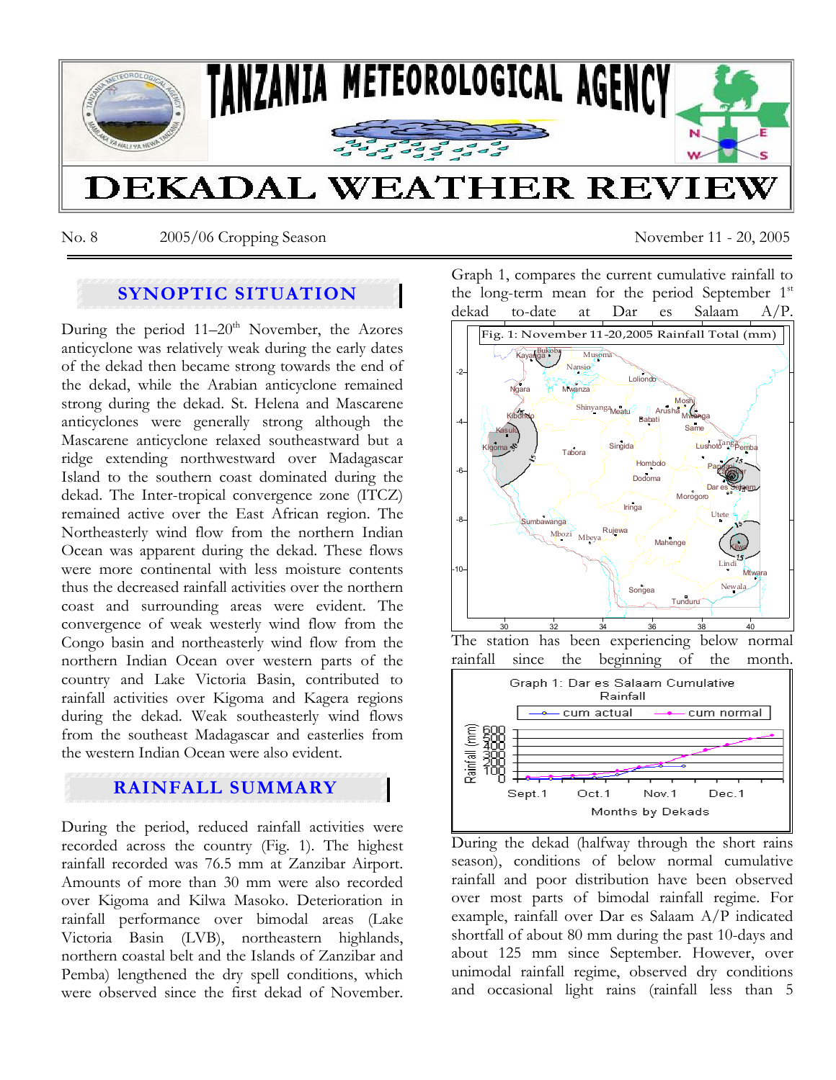

No. 8 2005/06 Cropping Season November 11 - 20, 2005

# **SYNOPTIC SITUATION**

During the period  $11-20<sup>th</sup>$  November, the Azores anticyclone was relatively weak during the early dates of the dekad then became strong towards the end of the dekad, while the Arabian anticyclone remained strong during the dekad. St. Helena and Mascarene anticyclones were generally strong although the Mascarene anticyclone relaxed southeastward but a ridge extending northwestward over Madagascar Island to the southern coast dominated during the dekad. The Inter-tropical convergence zone (ITCZ) remained active over the East African region. The Northeasterly wind flow from the northern Indian Ocean was apparent during the dekad. These flows were more continental with less moisture contents thus the decreased rainfall activities over the northern coast and surrounding areas were evident. The convergence of weak westerly wind flow from the Congo basin and northeasterly wind flow from the northern Indian Ocean over western parts of the country and Lake Victoria Basin, contributed to rainfall activities over Kigoma and Kagera regions during the dekad. Weak southeasterly wind flows from the southeast Madagascar and easterlies from the western Indian Ocean were also evident.

# **RAINFALL SUMMARY**

During the period, reduced rainfall activities were recorded across the country (Fig. 1). The highest rainfall recorded was 76.5 mm at Zanzibar Airport. Amounts of more than 30 mm were also recorded over Kigoma and Kilwa Masoko. Deterioration in rainfall performance over bimodal areas (Lake Victoria Basin (LVB), northeastern highlands, northern coastal belt and the Islands of Zanzibar and Pemba) lengthened the dry spell conditions, which were observed since the first dekad of November. Graph 1, compares the current cumulative rainfall to the long-term mean for the period September  $1<sup>st</sup>$ dekad to-date at Dar es Salaam



The station has been experiencing below normal rainfall since the beginning of the month.



During the dekad (halfway through the short rains season), conditions of below normal cumulative rainfall and poor distribution have been observed over most parts of bimodal rainfall regime. For example, rainfall over Dar es Salaam A/P indicated shortfall of about 80 mm during the past 10-days and about 125 mm since September. However, over unimodal rainfall regime, observed dry conditions and occasional light rains (rainfall less than 5